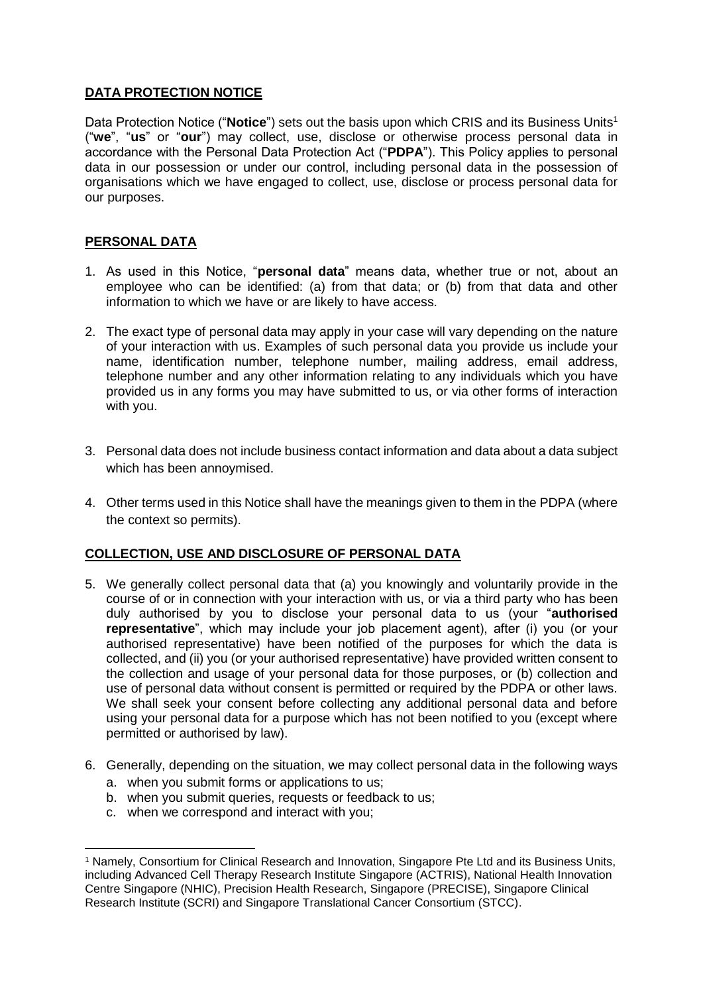# **DATA PROTECTION NOTICE**

Data Protection Notice ("**Notice**") sets out the basis upon which CRIS and its Business Units<sup>1</sup> ("**we**", "**us**" or "**our**") may collect, use, disclose or otherwise process personal data in accordance with the Personal Data Protection Act ("**PDPA**"). This Policy applies to personal data in our possession or under our control, including personal data in the possession of organisations which we have engaged to collect, use, disclose or process personal data for our purposes.

# **PERSONAL DATA**

- 1. As used in this Notice, "**personal data**" means data, whether true or not, about an employee who can be identified: (a) from that data; or (b) from that data and other information to which we have or are likely to have access.
- 2. The exact type of personal data may apply in your case will vary depending on the nature of your interaction with us. Examples of such personal data you provide us include your name, identification number, telephone number, mailing address, email address, telephone number and any other information relating to any individuals which you have provided us in any forms you may have submitted to us, or via other forms of interaction with you.
- 3. Personal data does not include business contact information and data about a data subject which has been annoymised.
- 4. Other terms used in this Notice shall have the meanings given to them in the PDPA (where the context so permits).

# **COLLECTION, USE AND DISCLOSURE OF PERSONAL DATA**

- 5. We generally collect personal data that (a) you knowingly and voluntarily provide in the course of or in connection with your interaction with us, or via a third party who has been duly authorised by you to disclose your personal data to us (your "**authorised representative**", which may include your job placement agent), after (i) you (or your authorised representative) have been notified of the purposes for which the data is collected, and (ii) you (or your authorised representative) have provided written consent to the collection and usage of your personal data for those purposes, or (b) collection and use of personal data without consent is permitted or required by the PDPA or other laws. We shall seek your consent before collecting any additional personal data and before using your personal data for a purpose which has not been notified to you (except where permitted or authorised by law).
- 6. Generally, depending on the situation, we may collect personal data in the following ways
	- a. when you submit forms or applications to us;
	- b. when you submit queries, requests or feedback to us;
	- c. when we correspond and interact with you;

**<sup>.</sup>** <sup>1</sup> Namely, Consortium for Clinical Research and Innovation, Singapore Pte Ltd and its Business Units, including Advanced Cell Therapy Research Institute Singapore (ACTRIS), National Health Innovation Centre Singapore (NHIC), Precision Health Research, Singapore (PRECISE), Singapore Clinical Research Institute (SCRI) and Singapore Translational Cancer Consortium (STCC).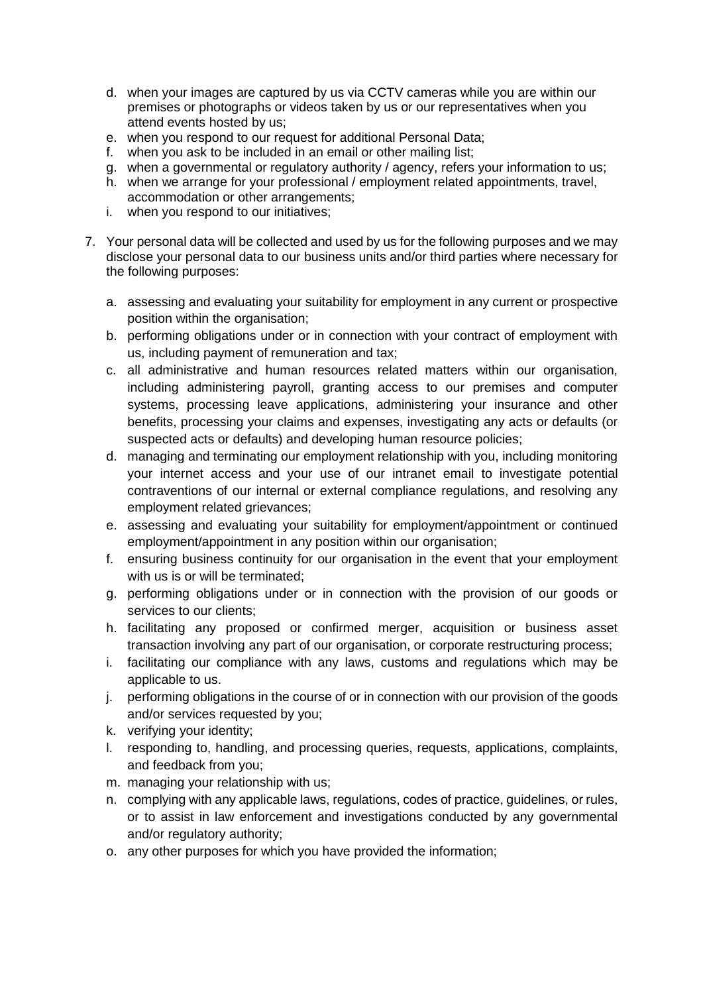- d. when your images are captured by us via CCTV cameras while you are within our premises or photographs or videos taken by us or our representatives when you attend events hosted by us;
- e. when you respond to our request for additional Personal Data;
- f. when you ask to be included in an email or other mailing list;
- g. when a governmental or regulatory authority / agency, refers your information to us;
- h. when we arrange for your professional / employment related appointments, travel, accommodation or other arrangements;
- i. when you respond to our initiatives;
- 7. Your personal data will be collected and used by us for the following purposes and we may disclose your personal data to our business units and/or third parties where necessary for the following purposes:
	- a. assessing and evaluating your suitability for employment in any current or prospective position within the organisation;
	- b. performing obligations under or in connection with your contract of employment with us, including payment of remuneration and tax;
	- c. all administrative and human resources related matters within our organisation, including administering payroll, granting access to our premises and computer systems, processing leave applications, administering your insurance and other benefits, processing your claims and expenses, investigating any acts or defaults (or suspected acts or defaults) and developing human resource policies;
	- d. managing and terminating our employment relationship with you, including monitoring your internet access and your use of our intranet email to investigate potential contraventions of our internal or external compliance regulations, and resolving any employment related grievances;
	- e. assessing and evaluating your suitability for employment/appointment or continued employment/appointment in any position within our organisation;
	- f. ensuring business continuity for our organisation in the event that your employment with us is or will be terminated:
	- g. performing obligations under or in connection with the provision of our goods or services to our clients;
	- h. facilitating any proposed or confirmed merger, acquisition or business asset transaction involving any part of our organisation, or corporate restructuring process;
	- i. facilitating our compliance with any laws, customs and regulations which may be applicable to us.
	- j. performing obligations in the course of or in connection with our provision of the goods and/or services requested by you;
	- k. verifying your identity;
	- l. responding to, handling, and processing queries, requests, applications, complaints, and feedback from you;
	- m. managing your relationship with us;
	- n. complying with any applicable laws, regulations, codes of practice, guidelines, or rules, or to assist in law enforcement and investigations conducted by any governmental and/or regulatory authority;
	- o. any other purposes for which you have provided the information;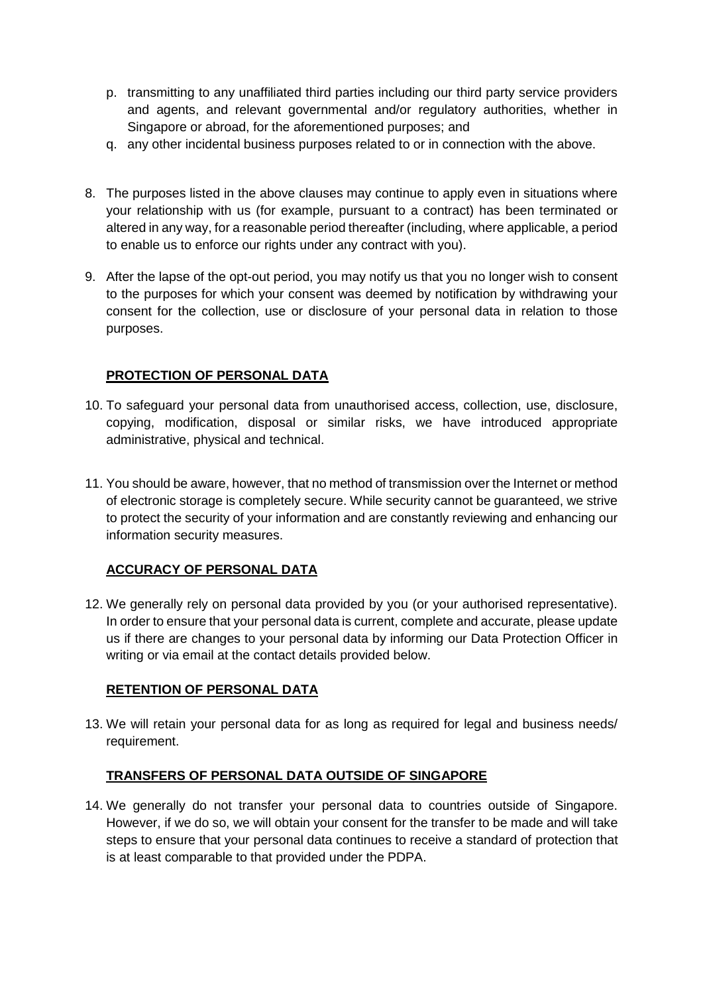- p. transmitting to any unaffiliated third parties including our third party service providers and agents, and relevant governmental and/or regulatory authorities, whether in Singapore or abroad, for the aforementioned purposes; and
- q. any other incidental business purposes related to or in connection with the above.
- 8. The purposes listed in the above clauses may continue to apply even in situations where your relationship with us (for example, pursuant to a contract) has been terminated or altered in any way, for a reasonable period thereafter (including, where applicable, a period to enable us to enforce our rights under any contract with you).
- 9. After the lapse of the opt-out period, you may notify us that you no longer wish to consent to the purposes for which your consent was deemed by notification by withdrawing your consent for the collection, use or disclosure of your personal data in relation to those purposes.

#### **PROTECTION OF PERSONAL DATA**

- 10. To safeguard your personal data from unauthorised access, collection, use, disclosure, copying, modification, disposal or similar risks, we have introduced appropriate administrative, physical and technical.
- 11. You should be aware, however, that no method of transmission over the Internet or method of electronic storage is completely secure. While security cannot be guaranteed, we strive to protect the security of your information and are constantly reviewing and enhancing our information security measures.

# **ACCURACY OF PERSONAL DATA**

12. We generally rely on personal data provided by you (or your authorised representative). In order to ensure that your personal data is current, complete and accurate, please update us if there are changes to your personal data by informing our Data Protection Officer in writing or via email at the contact details provided below.

# **RETENTION OF PERSONAL DATA**

13. We will retain your personal data for as long as required for legal and business needs/ requirement.

# **TRANSFERS OF PERSONAL DATA OUTSIDE OF SINGAPORE**

14. We generally do not transfer your personal data to countries outside of Singapore. However, if we do so, we will obtain your consent for the transfer to be made and will take steps to ensure that your personal data continues to receive a standard of protection that is at least comparable to that provided under the PDPA.